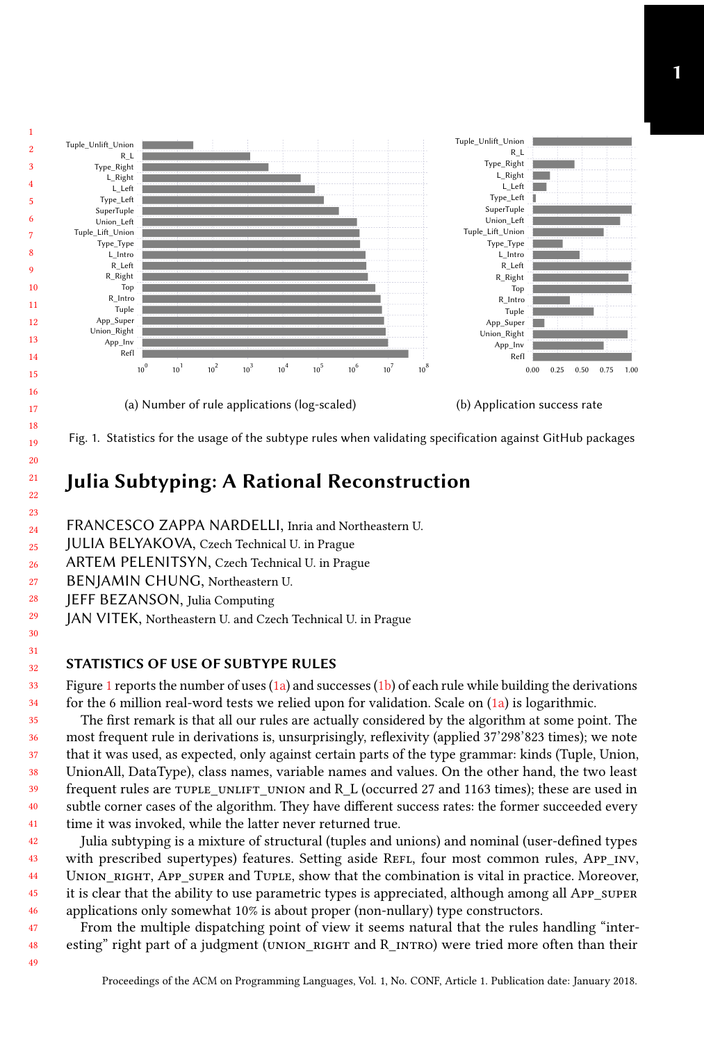<span id="page-0-0"></span>

Fig. 1. Statistics for the usage of the subtype rules when validating specification against GitHub packages

## Julia Subtyping: A Rational Reconstruction

FRANCESCO ZAPPA NARDELLI, Inria and Northeastern U.

- JULIA BELYAKOVA, Czech Technical U. in Prague
- 26 ARTEM PELENITSYN, Czech Technical U. in Prague
- 27 BENJAMIN CHUNG, Northeastern U.
- 28 JEFF BEZANSON, Julia Computing

49

JAN VITEK, Northeastern U. and Czech Technical U. in Prague

## STATISTICS OF USE OF SUBTYPE RULES

Figure [1](#page-0-0) reports the number of uses  $(1a)$  and successes  $(1b)$  of each rule while building the derivations for the 6 million real-word tests we relied upon for validation. Scale on  $(1a)$  is logarithmic.

frequent rules are tuple UNLIFT UNION and R L (occurred 27 and 1163 times); these are used in ft ft that it was used, as expected, only against certain parts of the type grammar: kinds (Tuple, Union, most frequent rule in derivations is, unsurprisingly, reflexivity (applied 37'298'823 times); we note The first remark is that all our rules are actually considered by the algorithm at some point. The UnionAll, DataType), class names, variable names and values. On the other hand, the two least subtle corner cases of the algorithm. They have different success rates: the former succeeded every time it was invoked, while the latter never returned true.

42 43 44 45 46 with prescribed supertypes) features. Setting aside Refl, four most common rules, App\_INV, Julia subtyping is a mixture of structural (tuples and unions) and nominal (user-defined types UNION RIGHT, APP SUPER and TUPLE, show that the combination is vital in practice. Moreover, it is clear that the ability to use parametric types is appreciated, although among all App\_super applications only somewhat 10% is about proper (non-nullary) type constructors.

47 48 From the multiple dispatching point of view it seems natural that the rules handling "interesting" right part of a judgment (UNION RIGHT and R\_INTRO) were tried more often than their

Proceedings of the ACM on Programming Languages, Vol. 1, No. CONF, Article 1. Publication date: January 2018.